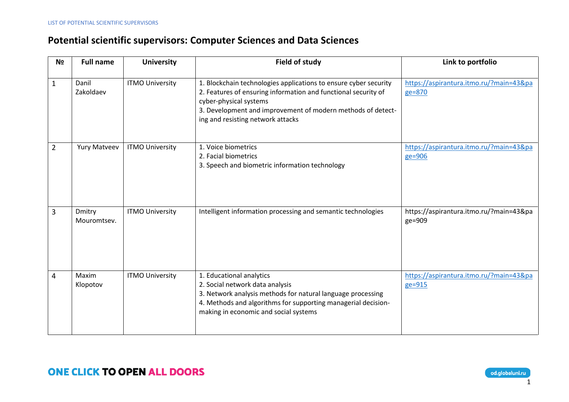## **Potential scientific supervisors: Computer Sciences and Data Sciences**

| N <sub>2</sub> | <b>Full name</b>      | <b>University</b>      | <b>Field of study</b>                                                                                                                                                                                                                                            | Link to portfolio                                 |
|----------------|-----------------------|------------------------|------------------------------------------------------------------------------------------------------------------------------------------------------------------------------------------------------------------------------------------------------------------|---------------------------------------------------|
| 1              | Danil<br>Zakoldaev    | <b>ITMO University</b> | 1. Blockchain technologies applications to ensure cyber security<br>2. Features of ensuring information and functional security of<br>cyber-physical systems<br>3. Development and improvement of modern methods of detect-<br>ing and resisting network attacks | https://aspirantura.itmo.ru/?main=43&pa<br>ge=870 |
| $\overline{2}$ | <b>Yury Matveev</b>   | <b>ITMO University</b> | 1. Voice biometrics<br>2. Facial biometrics<br>3. Speech and biometric information technology                                                                                                                                                                    | https://aspirantura.itmo.ru/?main=43&pa<br>ge=906 |
| 3              | Dmitry<br>Mouromtsev. | <b>ITMO University</b> | Intelligent information processing and semantic technologies                                                                                                                                                                                                     | https://aspirantura.itmo.ru/?main=43&pa<br>ge=909 |
| 4              | Maxim<br>Klopotov     | <b>ITMO University</b> | 1. Educational analytics<br>2. Social network data analysis<br>3. Network analysis methods for natural language processing<br>4. Methods and algorithms for supporting managerial decision-<br>making in economic and social systems                             | https://aspirantura.itmo.ru/?main=43&pa<br>ge=915 |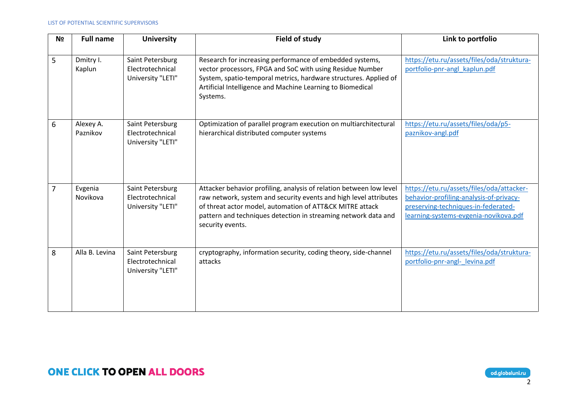| N <sub>2</sub> | <b>Full name</b>      | <b>University</b>                                         | <b>Field of study</b>                                                                                                                                                                                                                                                                      | Link to portfolio                                                                                                                                                    |
|----------------|-----------------------|-----------------------------------------------------------|--------------------------------------------------------------------------------------------------------------------------------------------------------------------------------------------------------------------------------------------------------------------------------------------|----------------------------------------------------------------------------------------------------------------------------------------------------------------------|
| 5              | Dmitry I.<br>Kaplun   | Saint Petersburg<br>Electrotechnical<br>University "LETI" | Research for increasing performance of embedded systems,<br>vector processors, FPGA and SoC with using Residue Number<br>System, spatio-temporal metrics, hardware structures. Applied of<br>Artificial Intelligence and Machine Learning to Biomedical<br>Systems.                        | https://etu.ru/assets/files/oda/struktura-<br>portfolio-pnr-angl kaplun.pdf                                                                                          |
| 6              | Alexey A.<br>Paznikov | Saint Petersburg<br>Electrotechnical<br>University "LETI" | Optimization of parallel program execution on multiarchitectural<br>hierarchical distributed computer systems                                                                                                                                                                              | https://etu.ru/assets/files/oda/p5-<br>paznikov-angl.pdf                                                                                                             |
| 7              | Evgenia<br>Novikova   | Saint Petersburg<br>Electrotechnical<br>University "LETI" | Attacker behavior profiling, analysis of relation between low level<br>raw network, system and security events and high level attributes<br>of threat actor model, automation of ATT&CK MITRE attack<br>pattern and techniques detection in streaming network data and<br>security events. | https://etu.ru/assets/files/oda/attacker-<br>behavior-profiling-analysis-of-privacy-<br>preserving-techniques-in-federated-<br>learning-systems-evgenia-novikova.pdf |
| 8              | Alla B. Levina        | Saint Petersburg<br>Electrotechnical<br>University "LETI" | cryptography, information security, coding theory, side-channel<br>attacks                                                                                                                                                                                                                 | https://etu.ru/assets/files/oda/struktura-<br>portfolio-pnr-angl- levina.pdf                                                                                         |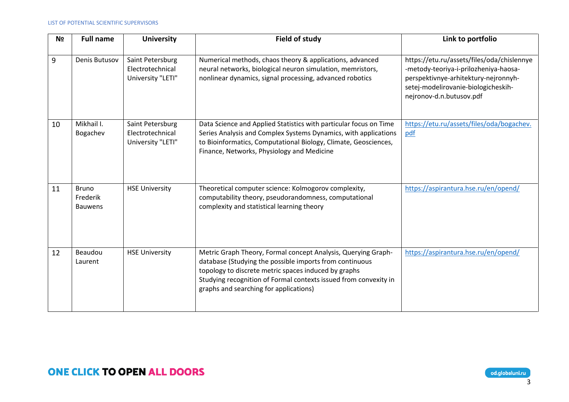| N <sub>2</sub> | <b>Full name</b>                           | <b>University</b>                                         | <b>Field of study</b>                                                                                                                                                                                                                                                                          | Link to portfolio                                                                                                                                                                              |
|----------------|--------------------------------------------|-----------------------------------------------------------|------------------------------------------------------------------------------------------------------------------------------------------------------------------------------------------------------------------------------------------------------------------------------------------------|------------------------------------------------------------------------------------------------------------------------------------------------------------------------------------------------|
| 9              | Denis Butusov                              | Saint Petersburg<br>Electrotechnical<br>University "LETI" | Numerical methods, chaos theory & applications, advanced<br>neural networks, biological neuron simulation, memristors,<br>nonlinear dynamics, signal processing, advanced robotics                                                                                                             | https://etu.ru/assets/files/oda/chislennye<br>-metody-teoriya-i-prilozheniya-haosa-<br>perspektivnye-arhitektury-nejronnyh-<br>setej-modelirovanie-biologicheskih-<br>nejronov-d.n.butusov.pdf |
| 10             | Mikhail I.<br>Bogachev                     | Saint Petersburg<br>Electrotechnical<br>University "LETI" | Data Science and Applied Statistics with particular focus on Time<br>Series Analysis and Complex Systems Dynamics, with applications<br>to Bioinformatics, Computational Biology, Climate, Geosciences,<br>Finance, Networks, Physiology and Medicine                                          | https://etu.ru/assets/files/oda/bogachev.<br>pdf                                                                                                                                               |
| 11             | <b>Bruno</b><br>Frederik<br><b>Bauwens</b> | <b>HSE University</b>                                     | Theoretical computer science: Kolmogorov complexity,<br>computability theory, pseudorandomness, computational<br>complexity and statistical learning theory                                                                                                                                    | https://aspirantura.hse.ru/en/opend/                                                                                                                                                           |
| 12             | Beaudou<br>Laurent                         | <b>HSE University</b>                                     | Metric Graph Theory, Formal concept Analysis, Querying Graph-<br>database (Studying the possible imports from continuous<br>topology to discrete metric spaces induced by graphs<br>Studying recognition of Formal contexts issued from convexity in<br>graphs and searching for applications) | https://aspirantura.hse.ru/en/opend/                                                                                                                                                           |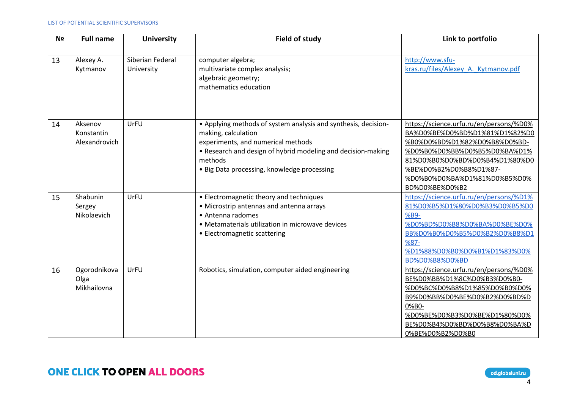| N <sub>2</sub> | <b>Full name</b>                       | <b>University</b>              | <b>Field of study</b>                                                                                                                                                                                                                                 | Link to portfolio                                                                                                                                                                                                                                     |
|----------------|----------------------------------------|--------------------------------|-------------------------------------------------------------------------------------------------------------------------------------------------------------------------------------------------------------------------------------------------------|-------------------------------------------------------------------------------------------------------------------------------------------------------------------------------------------------------------------------------------------------------|
| 13             | Alexey A.<br>Kytmanov                  | Siberian Federal<br>University | computer algebra;<br>multivariate complex analysis;<br>algebraic geometry;<br>mathematics education                                                                                                                                                   | http://www.sfu-<br>kras.ru/files/Alexey A. Kytmanov.pdf                                                                                                                                                                                               |
| 14             | Aksenov<br>Konstantin<br>Alexandrovich | UrFU                           | • Applying methods of system analysis and synthesis, decision-<br>making, calculation<br>experiments, and numerical methods<br>• Research and design of hybrid modeling and decision-making<br>methods<br>• Big Data processing, knowledge processing | https://science.urfu.ru/en/persons/%D0%<br>BA%D0%BE%D0%BD%D1%81%D1%82%D0<br>%B0%D0%BD%D1%82%D0%B8%D0%BD-<br>%D0%B0%D0%BB%D0%B5%D0%BA%D1%<br>81%D0%B0%D0%BD%D0%B4%D1%80%D0<br>%BE%D0%B2%D0%B8%D1%87-<br>%D0%B0%D0%BA%D1%81%D0%B5%D0%<br>BD%D0%BE%D0%B2 |
| 15             | Shabunin<br>Sergey<br>Nikolaevich      | UrFU                           | • Electromagnetic theory and techniques<br>• Microstrip antennas and antenna arrays<br>• Antenna radomes<br>• Metamaterials utilization in microwave devices<br>• Electromagnetic scattering                                                          | https://science.urfu.ru/en/persons/%D1%<br>81%D0%B5%D1%80%D0%B3%D0%B5%D0<br>%B9-<br>%D0%BD%D0%B8%D0%BA%D0%BE%D0%<br>BB%D0%B0%D0%B5%D0%B2%D0%B8%D1<br>$%87-$<br>%D1%88%D0%B0%D0%B1%D1%83%D0%<br>BD%D0%B8%D0%BD                                         |
| 16             | Ogorodnikova<br>Olga<br>Mikhailovna    | UrFU                           | Robotics, simulation, computer aided engineering                                                                                                                                                                                                      | https://science.urfu.ru/en/persons/%D0%<br>BE%D0%BB%D1%8C%D0%B3%D0%B0-<br>%D0%BC%D0%B8%D1%85%D0%B0%D0%<br>B9%D0%BB%D0%BE%D0%B2%D0%BD%D<br>0%B0-<br>%D0%BE%D0%B3%D0%BE%D1%80%D0%<br>BE%D0%B4%D0%BD%D0%B8%D0%BA%D<br>0%BE%D0%B2%D0%B0                   |